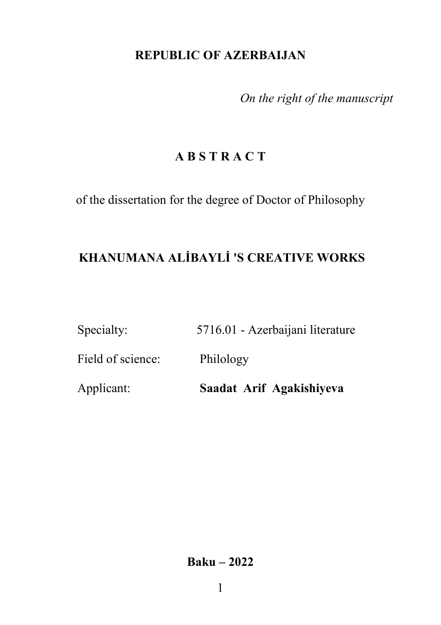# **REPUBLIC OF AZERBAIJAN**

*On the right of the manuscript*

# **A B S T R A C T**

of the dissertation for the degree of Doctor of Philosophy

# **KHANUMANA ALİBAYLİ 'S CREATIVE WORKS**

| Specialty: | 5716.01 - Azerbaijani literature |
|------------|----------------------------------|
|            |                                  |

Field of science: Philology

Applicant: **Saadat Arif Agakishiyeva** 

**Baku – 2022**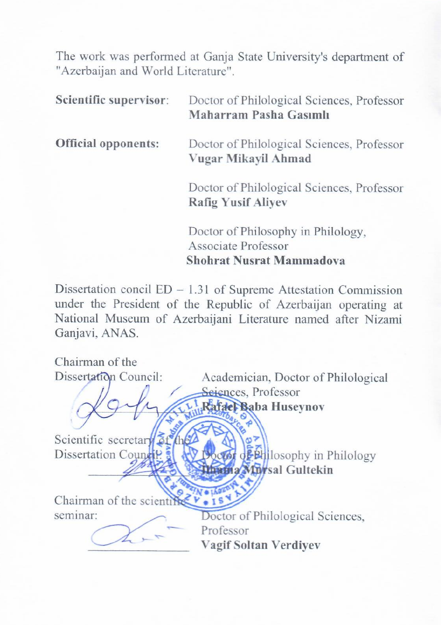The work was performed at Ganja State University's department of "Azerbaijan and World Literature".

| Scientific supervisor:     | Doctor of Philological Sciences, Professor<br>Maharram Pasha Gasımlı                         |
|----------------------------|----------------------------------------------------------------------------------------------|
| <b>Official opponents:</b> | Doctor of Philological Sciences, Professor<br>Vugar Mikayil Ahmad                            |
|                            | Doctor of Philological Sciences, Professor<br><b>Rafig Yusif Aliyev</b>                      |
|                            | Doctor of Philosophy in Philology,<br><b>Associate Professor</b><br>Shohrat Nusrat Mammadova |

Dissertation concil  $ED - 1.31$  of Supreme Attestation Commission under the President of the Republic of Azerbaijan operating at National Museum of Azerbaijani Literature named after Nizami Ganjavi, ANAS.

Chairman of the Dissertation Council: Academician, Doctor of Philological Seiences, Professor Rafael Baba Huseynov  $\sqrt{2}$ Scientific secretary 31 the Dissertation Council 3 **IV Doctor** of Bullosophy in Philology Dath a Milwsal Gultekin  $\frac{1}{\sqrt{2}}$ seminar:  $V = 15$ man of the scientifical vertex vertex vertex vertex vertex vertex vertex vertex vertex vertex vertex vertex vertex vertex vertex vertex vertex vertex vertex vertex vertex vertex vertex vertex vertex vertex vertex vertex ve Professor Vagif Soltan Verdivev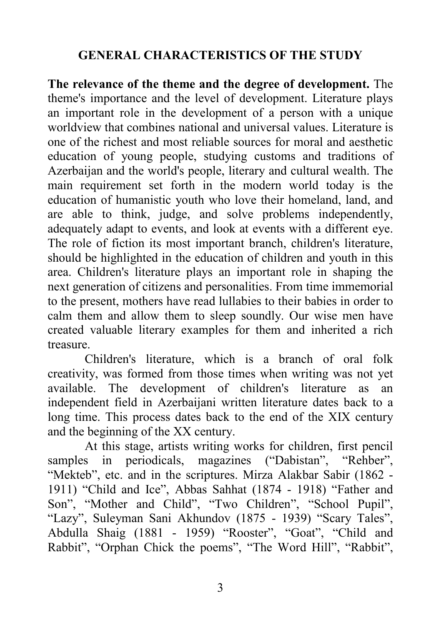## **GENERAL CHARACTERISTICS OF THE STUDY**

**The relevance of the theme and the degree of development.** The theme's importance and the level of development. Literature plays an important role in the development of a person with a unique worldview that combines national and universal values. Literature is one of the richest and most reliable sources for moral and aesthetic education of young people, studying customs and traditions of Azerbaijan and the world's people, literary and cultural wealth. The main requirement set forth in the modern world today is the education of humanistic youth who love their homeland, land, and are able to think, judge, and solve problems independently, adequately adapt to events, and look at events with a different eye. The role of fiction its most important branch, children's literature, should be highlighted in the education of children and youth in this area. Children's literature plays an important role in shaping the next generation of citizens and personalities. From time immemorial to the present, mothers have read lullabies to their babies in order to calm them and allow them to sleep soundly. Our wise men have created valuable literary examples for them and inherited a rich treasure.

Children's literature, which is a branch of oral folk creativity, was formed from those times when writing was not yet available. The development of children's literature as an independent field in Azerbaijani written literature dates back to a long time. This process dates back to the end of the XIX century and the beginning of the XX century.

At this stage, artists writing works for children, first pencil samples in periodicals, magazines ("Dabistan", "Rehber", "Mekteb", etc. and in the scriptures. Mirza Alakbar Sabir (1862 - 1911) "Child and Ice", Abbas Sahhat (1874 - 1918) "Father and Son", "Mother and Child", "Two Children", "School Pupil", "Lazy", Suleyman Sani Akhundov (1875 - 1939) "Scary Tales", Abdulla Shaig (1881 - 1959) "Rooster", "Goat", "Child and Rabbit", "Orphan Chick the poems", "The Word Hill", "Rabbit",

3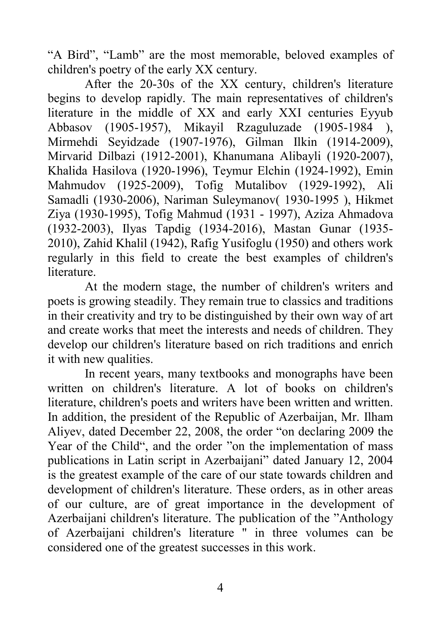"A Bird", "Lamb" are the most memorable, beloved examples of children's poetry of the early XX century.

After the 20-30s of the XX century, children's literature begins to develop rapidly. The main representatives of children's literature in the middle of XX and early XXI centuries Eyyub Abbasov (1905-1957), Mikayil Rzaguluzade (1905-1984 ), Mirmehdi Seyidzade (1907-1976), Gilman Ilkin (1914-2009), Mirvarid Dilbazi (1912-2001), Khanumana Alibayli (1920-2007), Khalida Hasilova (1920-1996), Teymur Elchin (1924-1992), Emin Mahmudov (1925-2009), Tofig Mutalibov (1929-1992), Ali Samadli (1930-2006), Nariman Suleymanov( 1930-1995 ), Hikmet Ziya (1930-1995), Tofig Mahmud (1931 - 1997), Aziza Ahmadova (1932-2003), Ilyas Tapdig (1934-2016), Mastan Gunar (1935- 2010), Zahid Khalil (1942), Rafig Yusifoglu (1950) and others work regularly in this field to create the best examples of children's literature.

At the modern stage, the number of children's writers and poets is growing steadily. They remain true to classics and traditions in their creativity and try to be distinguished by their own way of art and create works that meet the interests and needs of children. They develop our children's literature based on rich traditions and enrich it with new qualities.

In recent years, many textbooks and monographs have been written on children's literature. A lot of books on children's literature, children's poets and writers have been written and written. In addition, the president of the Republic of Azerbaijan, Mr. Ilham Aliyev, dated December 22, 2008, the order "on declaring 2009 the Year of the Child", and the order "on the implementation of mass publications in Latin script in Azerbaijani" dated January 12, 2004 is the greatest example of the care of our state towards children and development of children's literature. These orders, as in other areas of our culture, are of great importance in the development of Azerbaijani children's literature. The publication of the "Anthology of Azerbaijani children's literature " in three volumes can be considered one of the greatest successes in this work.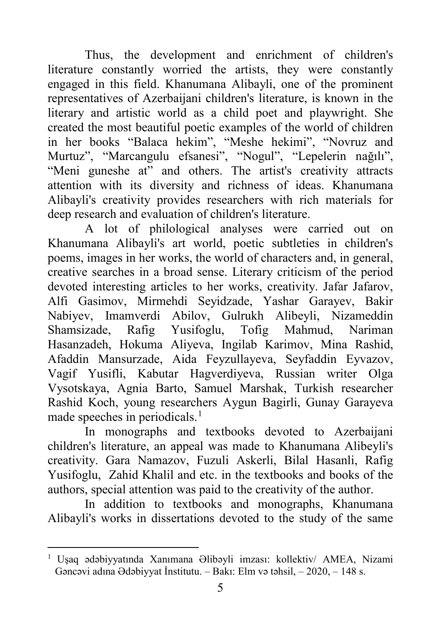Thus, the development and enrichment of children's literature constantly worried the artists, they were constantly engaged in this field. Khanumana Alibayli, one of the prominent representatives of Azerbaijani children's literature, is known in the literary and artistic world as a child poet and playwright. She created the most beautiful poetic examples of the world of children in her books "Balaca hekim", "Meshe hekimi", "Novruz and Murtuz", "Marcangulu efsanesi", "Nogul", "Lepelerin nağılı", "Meni guneshe at" and others. The artist's creativity attracts attention with its diversity and richness of ideas. Khanumana Alibayli's creativity provides researchers with rich materials for deep research and evaluation of children's literature.

A lot of philological analyses were carried out on Khanumana Alibayli's art world, poetic subtleties in children's poems, images in her works, the world of characters and, in general, creative searches in a broad sense. Literary criticism of the period devoted interesting articles to her works, creativity. Jafar Jafarov, Alfi Gasimov, Mirmehdi Seyidzade, Yashar Garayev, Bakir Nabiyev, Imamverdi Abilov, Gulrukh Alibeyli, Nizameddin Shamsizade, Rafig Yusifoglu, Tofig Mahmud, Nariman Hasanzadeh, Hokuma Aliyeva, Ingilab Karimov, Mina Rashid, Afaddin Mansurzade, Aida Feyzullayeva, Seyfaddin Eyvazov, Vagif Yusifli, Kabutar Hagverdiyeva, Russian writer Olga Vysotskaya, Agnia Barto, Samuel Marshak, Turkish researcher Rashid Koch, young researchers Aygun Bagirli, Gunay Garayeva made speeches in periodicals. $<sup>1</sup>$  $<sup>1</sup>$  $<sup>1</sup>$ </sup>

In monographs and textbooks devoted to Azerbaijani children's literature, an appeal was made to Khanumana Alibeyli's creativity. Gara Namazov, Fuzuli Askerli, Bilal Hasanli, Rafig Yusifoglu, Zahid Khalil and etc. in the textbooks and books of the authors, special attention was paid to the creativity of the author.

In addition to textbooks and monographs, Khanumana Alibayli's works in dissertations devoted to the study of the same

<span id="page-4-0"></span><sup>1</sup> Uşaq ədəbiyyatında Xanımana Əlibəyli imzası: kollektiv/ AMEA, Nizami Gəncəvi adına Ədəbiyyat İnstitutu. – Bakı: Elm və təhsil, – 2020, – 148 s.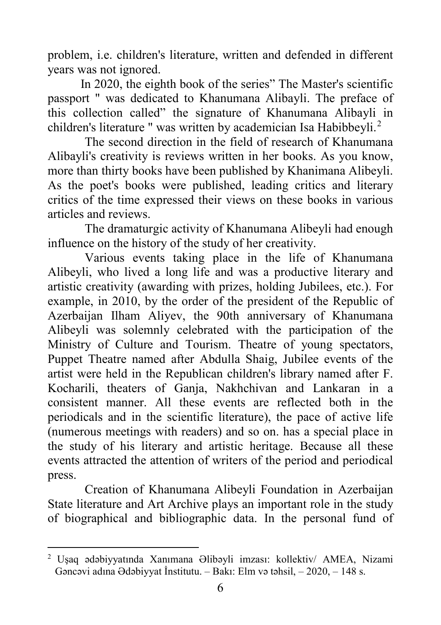problem, i.e. children's literature, written and defended in different years was not ignored.

In 2020, the eighth book of the series" The Master's scientific passport " was dedicated to Khanumana Alibayli. The preface of this collection called" the signature of Khanumana Alibayli in children's literature " was written by academician Isa Habibbevli.<sup>[2](#page-5-0)</sup>

The second direction in the field of research of Khanumana Alibayli's creativity is reviews written in her books. As you know, more than thirty books have been published by Khanimana Alibeyli. As the poet's books were published, leading critics and literary critics of the time expressed their views on these books in various articles and reviews.

The dramaturgic activity of Khanumana Alibeyli had enough influence on the history of the study of her creativity.

Various events taking place in the life of Khanumana Alibeyli, who lived a long life and was a productive literary and artistic creativity (awarding with prizes, holding Jubilees, etc.). For example, in 2010, by the order of the president of the Republic of Azerbaijan Ilham Aliyev, the 90th anniversary of Khanumana Alibeyli was solemnly celebrated with the participation of the Ministry of Culture and Tourism. Theatre of young spectators, Puppet Theatre named after Abdulla Shaig, Jubilee events of the artist were held in the Republican children's library named after F. Kocharili, theaters of Ganja, Nakhchivan and Lankaran in a consistent manner. All these events are reflected both in the periodicals and in the scientific literature), the pace of active life (numerous meetings with readers) and so on. has a special place in the study of his literary and artistic heritage. Because all these events attracted the attention of writers of the period and periodical press.

Creation of Khanumana Alibeyli Foundation in Azerbaijan State literature and Art Archive plays an important role in the study of biographical and bibliographic data. In the personal fund of

<span id="page-5-0"></span><sup>2</sup> Uşaq ədəbiyyatında Xanımana Əlibəyli imzası: kollektiv/ AMEA, Nizami Gəncəvi adına Ədəbiyyat İnstitutu. – Bakı: Elm və təhsil, – 2020, – 148 s.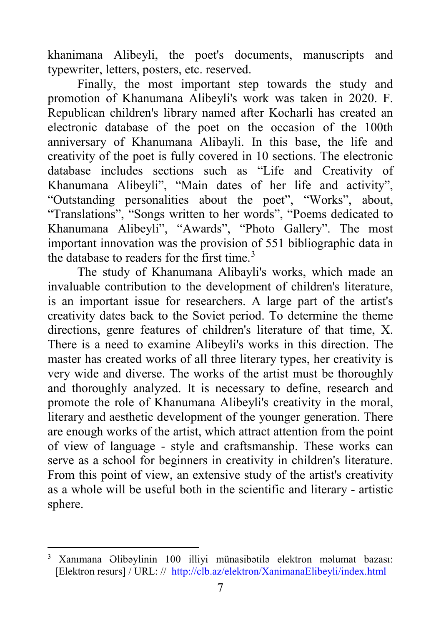khanimana Alibeyli, the poet's documents, manuscripts and typewriter, letters, posters, etc. reserved.

Finally, the most important step towards the study and promotion of Khanumana Alibeyli's work was taken in 2020. F. Republican children's library named after Kocharli has created an electronic database of the poet on the occasion of the 100th anniversary of Khanumana Alibayli. In this base, the life and creativity of the poet is fully covered in 10 sections. The electronic database includes sections such as "Life and Creativity of Khanumana Alibeyli", "Main dates of her life and activity", "Outstanding personalities about the poet", "Works", about, "Translations", "Songs written to her words", "Poems dedicated to Khanumana Alibeyli", "Awards", "Photo Gallery". The most important innovation was the provision of 551 bibliographic data in the database to readers for the first time.<sup>[3](#page-6-0)</sup>

The study of Khanumana Alibayli's works, which made an invaluable contribution to the development of children's literature, is an important issue for researchers. A large part of the artist's creativity dates back to the Soviet period. To determine the theme directions, genre features of children's literature of that time, X. There is a need to examine Alibeyli's works in this direction. The master has created works of all three literary types, her creativity is very wide and diverse. The works of the artist must be thoroughly and thoroughly analyzed. It is necessary to define, research and promote the role of Khanumana Alibeyli's creativity in the moral, literary and aesthetic development of the younger generation. There are enough works of the artist, which attract attention from the point of view of language - style and craftsmanship. These works can serve as a school for beginners in creativity in children's literature. From this point of view, an extensive study of the artist's creativity as a whole will be useful both in the scientific and literary - artistic sphere.

<span id="page-6-0"></span>**<sup>.</sup>** <sup>3</sup> Xanımana Əlibəylinin 100 illiyi münasibətilə elektron məlumat bazası: [Elektron resurs] / URL: // <http://clb.az/elektron/XanimanaElibeyli/index.html>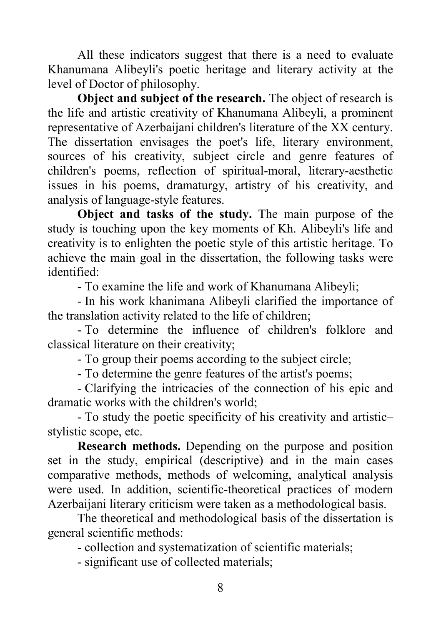All these indicators suggest that there is a need to evaluate Khanumana Alibeyli's poetic heritage and literary activity at the level of Doctor of philosophy.

**Object and subject of the research.** The object of research is the life and artistic creativity of Khanumana Alibeyli, a prominent representative of Azerbaijani children's literature of the XX century. The dissertation envisages the poet's life, literary environment, sources of his creativity, subject circle and genre features of children's poems, reflection of spiritual-moral, literary-aesthetic issues in his poems, dramaturgy, artistry of his creativity, and analysis of language-style features.

**Object and tasks of the study.** The main purpose of the study is touching upon the key moments of Kh. Alibeyli's life and creativity is to enlighten the poetic style of this artistic heritage. To achieve the main goal in the dissertation, the following tasks were identified:

- To examine the life and work of Khanumana Alibeyli;

- In his work khanimana Alibeyli clarified the importance of the translation activity related to the life of children;

- To determine the influence of children's folklore and classical literature on their creativity;

- To group their poems according to the subject circle;

- To determine the genre features of the artist's poems;

- Clarifying the intricacies of the connection of his epic and dramatic works with the children's world;

- To study the poetic specificity of his creativity and artistic– stylistic scope, etc.

**Research methods.** Depending on the purpose and position set in the study, empirical (descriptive) and in the main cases comparative methods, methods of welcoming, analytical analysis were used. In addition, scientific-theoretical practices of modern Azerbaijani literary criticism were taken as a methodological basis.

The theoretical and methodological basis of the dissertation is general scientific methods:

- collection and systematization of scientific materials;

- significant use of collected materials;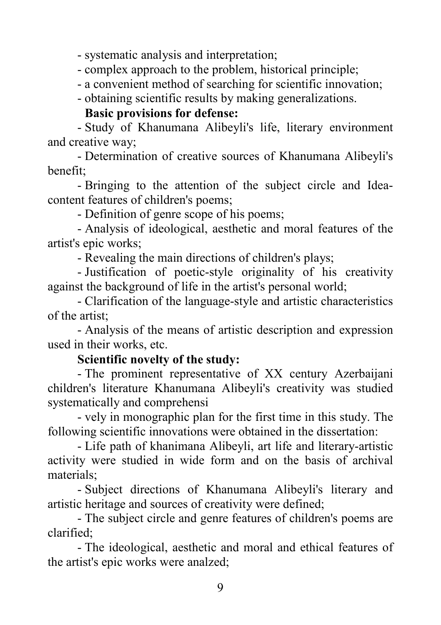- systematic analysis and interpretation;

- complex approach to the problem, historical principle;

- a convenient method of searching for scientific innovation;

- obtaining scientific results by making generalizations.

#### **Basic provisions for defense:**

- Study of Khanumana Alibeyli's life, literary environment and creative way;

- Determination of creative sources of Khanumana Alibeyli's benefit;

- Bringing to the attention of the subject circle and Ideacontent features of children's poems;

- Definition of genre scope of his poems;

- Analysis of ideological, aesthetic and moral features of the artist's epic works;

- Revealing the main directions of children's plays;

- Justification of poetic-style originality of his creativity against the background of life in the artist's personal world;

- Clarification of the language-style and artistic characteristics of the artist;

- Analysis of the means of artistic description and expression used in their works, etc.

#### **Scientific novelty of the study:**

- The prominent representative of XX century Azerbaijani children's literature Khanumana Alibeyli's creativity was studied systematically and comprehensi

- vely in monographic plan for the first time in this study. The following scientific innovations were obtained in the dissertation:

- Life path of khanimana Alibeyli, art life and literary-artistic activity were studied in wide form and on the basis of archival materials;

- Subject directions of Khanumana Alibeyli's literary and artistic heritage and sources of creativity were defined;

- The subject circle and genre features of children's poems are clarified;

- The ideological, aesthetic and moral and ethical features of the artist's epic works were analzed;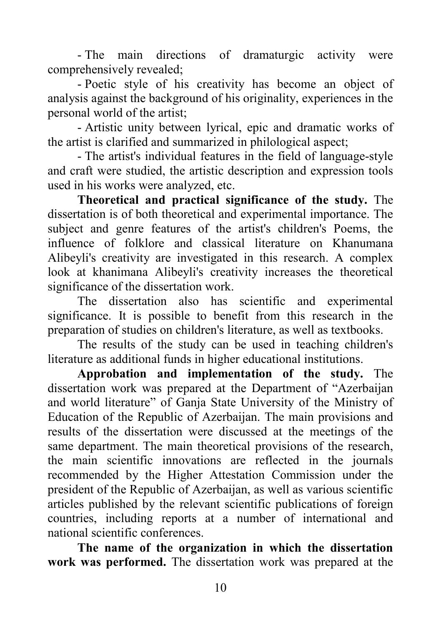- The main directions of dramaturgic activity were comprehensively revealed;

- Poetic style of his creativity has become an object of analysis against the background of his originality, experiences in the personal world of the artist;

- Artistic unity between lyrical, epic and dramatic works of the artist is clarified and summarized in philological aspect;

- The artist's individual features in the field of language-style and craft were studied, the artistic description and expression tools used in his works were analyzed, etc.

**Theoretical and practical significance of the study.** The dissertation is of both theoretical and experimental importance. The subject and genre features of the artist's children's Poems, the influence of folklore and classical literature on Khanumana Alibeyli's creativity are investigated in this research. A complex look at khanimana Alibeyli's creativity increases the theoretical significance of the dissertation work.

The dissertation also has scientific and experimental significance. It is possible to benefit from this research in the preparation of studies on children's literature, as well as textbooks.

The results of the study can be used in teaching children's literature as additional funds in higher educational institutions.

**Approbation and implementation of the study.** The dissertation work was prepared at the Department of "Azerbaijan and world literature" of Ganja State University of the Ministry of Education of the Republic of Azerbaijan. The main provisions and results of the dissertation were discussed at the meetings of the same department. The main theoretical provisions of the research, the main scientific innovations are reflected in the journals recommended by the Higher Attestation Commission under the president of the Republic of Azerbaijan, as well as various scientific articles published by the relevant scientific publications of foreign countries, including reports at a number of international and national scientific conferences.

**The name of the organization in which the dissertation work was performed.** The dissertation work was prepared at the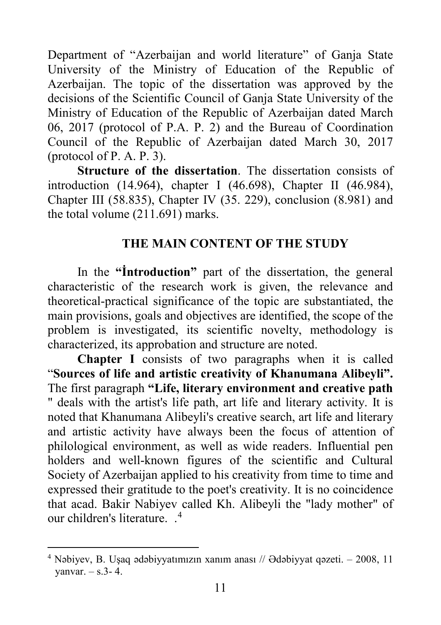Department of "Azerbaijan and world literature" of Ganja State University of the Ministry of Education of the Republic of Azerbaijan. The topic of the dissertation was approved by the decisions of the Scientific Council of Ganja State University of the Ministry of Education of the Republic of Azerbaijan dated March 06, 2017 (protocol of P.A. P. 2) and the Bureau of Coordination Council of the Republic of Azerbaijan dated March 30, 2017 (protocol of P. A. P. 3).

**Structure of the dissertation**. The dissertation consists of introduction (14.964), chapter I (46.698), Chapter II (46.984), Chapter III (58.835), Chapter IV (35. 229), conclusion (8.981) and the total volume (211.691) marks.

#### **THE MAIN CONTENT OF THE STUDY**

In the **"İntroduction"** part of the dissertation, the general characteristic of the research work is given, the relevance and theoretical-practical significance of the topic are substantiated, the main provisions, goals and objectives are identified, the scope of the problem is investigated, its scientific novelty, methodology is characterized, its approbation and structure are noted.

**Chapter I** consists of two paragraphs when it is called "**Sources of life and artistic creativity of Khanumana Alibeyli".**  The first paragraph **"Life, literary environment and creative path**  " deals with the artist's life path, art life and literary activity. It is noted that Khanumana Alibeyli's creative search, art life and literary and artistic activity have always been the focus of attention of philological environment, as well as wide readers. Influential pen holders and well-known figures of the scientific and Cultural Society of Azerbaijan applied to his creativity from time to time and expressed their gratitude to the poet's creativity. It is no coincidence that acad. Bakir Nabiyev called Kh. Alibeyli the "lady mother" of our children's literature. . [4](#page-10-0)

<span id="page-10-0"></span> $4$  Nəbiyev, B. Usaq ədəbiyyatımızın xanım anası // Ədəbiyyat qəzeti.  $-2008$ , 11 vanvar.  $-$  s.3-4.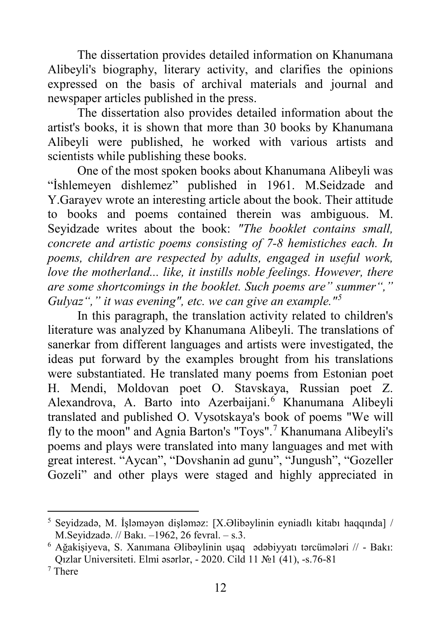The dissertation provides detailed information on Khanumana Alibeyli's biography, literary activity, and clarifies the opinions expressed on the basis of archival materials and journal and newspaper articles published in the press.

The dissertation also provides detailed information about the artist's books, it is shown that more than 30 books by Khanumana Alibeyli were published, he worked with various artists and scientists while publishing these books.

One of the most spoken books about Khanumana Alibeyli was "İshlemeyen dishlemez" published in 1961. M.Seidzade and Y.Garayev wrote an interesting article about the book. Their attitude to books and poems contained therein was ambiguous. M. Seyidzade writes about the book: *"The booklet contains small, concrete and artistic poems consisting of 7-8 hemistiches each. In poems, children are respected by adults, engaged in useful work, love the motherland... like, it instills noble feelings. However, there are some shortcomings in the booklet. Such poems are" summer"," Gulyaz"," it was evening", etc. we can give an example."[5](#page-11-0)*

In this paragraph, the translation activity related to children's literature was analyzed by Khanumana Alibeyli. The translations of sanerkar from different languages and artists were investigated, the ideas put forward by the examples brought from his translations were substantiated. He translated many poems from Estonian poet H. Mendi, Moldovan poet O. Stavskaya, Russian poet Z. Alexandrova, A. Barto into Azerbaijani. [6](#page-11-1) Khanumana Alibeyli translated and published O. Vysotskaya's book of poems "We will fly to the moon" and Agnia Barton's "Toys".<sup>[7](#page-11-2)</sup> Khanumana Alibeyli's poems and plays were translated into many languages and met with great interest. "Aycan", "Dovshanin ad gunu", "Jungush", "Gozeller Gozeli" and other plays were staged and highly appreciated in

<span id="page-11-0"></span><sup>5</sup> Seyidzadə, M. İşləməyən dişləməz: [X.Əlibəylinin eyniadlı kitabı haqqında] / M.Seyidzadə. // Bakı. ‒1962, 26 fevral. ‒ s.3.

<span id="page-11-1"></span><sup>6</sup> Ağakişiyeva, S. Xanımana Əlibəylinin uşaq ədəbiyyatı tərcümələri // - Bakı: Qızlar Universiteti. Elmi əsərlər, - 2020. Cild 11 №1 (41), -s.76-81

<span id="page-11-2"></span><sup>7</sup> There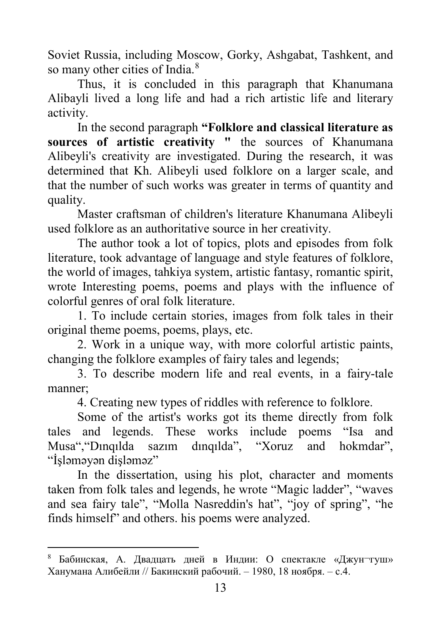Soviet Russia, including Moscow, Gorky, Ashgabat, Tashkent, and so many other cities of India.<sup>[8](#page-12-0)</sup>

Thus, it is concluded in this paragraph that Khanumana Alibayli lived a long life and had a rich artistic life and literary activity.

In the second paragraph **"Folklore and classical literature as sources of artistic creativity "** the sources of Khanumana Alibeyli's creativity are investigated. During the research, it was determined that Kh. Alibeyli used folklore on a larger scale, and that the number of such works was greater in terms of quantity and quality.

Master craftsman of children's literature Khanumana Alibeyli used folklore as an authoritative source in her creativity.

The author took a lot of topics, plots and episodes from folk literature, took advantage of language and style features of folklore, the world of images, tahkiya system, artistic fantasy, romantic spirit, wrote Interesting poems, poems and plays with the influence of colorful genres of oral folk literature.

1. To include certain stories, images from folk tales in their original theme poems, poems, plays, etc.

2. Work in a unique way, with more colorful artistic paints, changing the folklore examples of fairy tales and legends;

3. To describe modern life and real events, in a fairy-tale manner;

4. Creating new types of riddles with reference to folklore.

Some of the artist's works got its theme directly from folk tales and legends. These works include poems "Isa and Musa","Dınqılda sazım dınqılda", "Xoruz and hokmdar", "İşləməyən dişləməz"

In the dissertation, using his plot, character and moments taken from folk tales and legends, he wrote "Magic ladder", "waves and sea fairy tale", "Molla Nasreddin's hat", "joy of spring", "he finds himself" and others. his poems were analyzed.

<span id="page-12-0"></span><sup>8</sup> Бабинская, А. Двадцать дней в Индии: О спектакле «Джун¬гуш» Ханумана Алибейли // Бакинский рабочий. ‒ 1980, 18 ноября. ‒ с.4.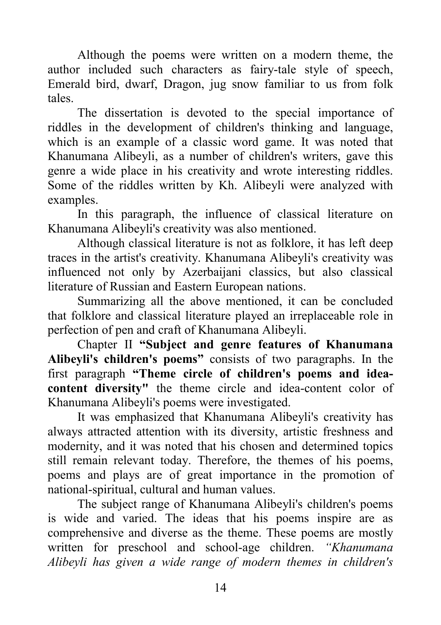Although the poems were written on a modern theme, the author included such characters as fairy-tale style of speech, Emerald bird, dwarf, Dragon, jug snow familiar to us from folk tales.

The dissertation is devoted to the special importance of riddles in the development of children's thinking and language, which is an example of a classic word game. It was noted that Khanumana Alibeyli, as a number of children's writers, gave this genre a wide place in his creativity and wrote interesting riddles. Some of the riddles written by Kh. Alibeyli were analyzed with examples.

In this paragraph, the influence of classical literature on Khanumana Alibeyli's creativity was also mentioned.

Although classical literature is not as folklore, it has left deep traces in the artist's creativity. Khanumana Alibeyli's creativity was influenced not only by Azerbaijani classics, but also classical literature of Russian and Eastern European nations.

Summarizing all the above mentioned, it can be concluded that folklore and classical literature played an irreplaceable role in perfection of pen and craft of Khanumana Alibeyli.

Chapter II **"Subject and genre features of Khanumana Alibeyli's children's poems"** consists of two paragraphs. In the first paragraph **"Theme circle of children's poems and ideacontent diversity"** the theme circle and idea-content color of Khanumana Alibeyli's poems were investigated.

It was emphasized that Khanumana Alibeyli's creativity has always attracted attention with its diversity, artistic freshness and modernity, and it was noted that his chosen and determined topics still remain relevant today. Therefore, the themes of his poems, poems and plays are of great importance in the promotion of national-spiritual, cultural and human values.

The subject range of Khanumana Alibeyli's children's poems is wide and varied. The ideas that his poems inspire are as comprehensive and diverse as the theme. These poems are mostly written for preschool and school-age children. *"Khanumana Alibeyli has given a wide range of modern themes in children's*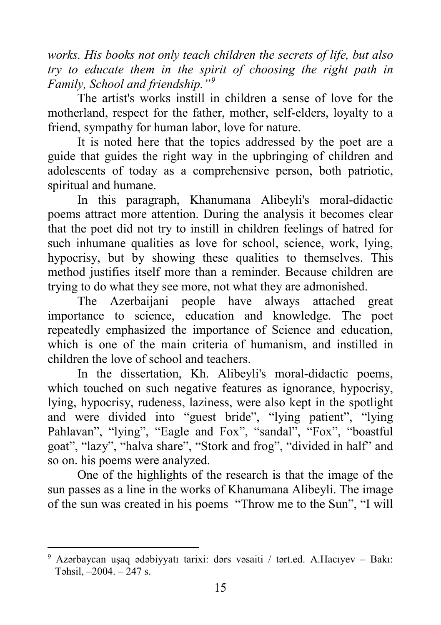*works. His books not only teach children the secrets of life, but also try to educate them in the spirit of choosing the right path in Family, School and friendship."[9](#page-14-0)*

The artist's works instill in children a sense of love for the motherland, respect for the father, mother, self-elders, loyalty to a friend, sympathy for human labor, love for nature.

It is noted here that the topics addressed by the poet are a guide that guides the right way in the upbringing of children and adolescents of today as a comprehensive person, both patriotic, spiritual and humane.

In this paragraph, Khanumana Alibeyli's moral-didactic poems attract more attention. During the analysis it becomes clear that the poet did not try to instill in children feelings of hatred for such inhumane qualities as love for school, science, work, lying, hypocrisy, but by showing these qualities to themselves. This method justifies itself more than a reminder. Because children are trying to do what they see more, not what they are admonished.

The Azerbaijani people have always attached great importance to science, education and knowledge. The poet repeatedly emphasized the importance of Science and education, which is one of the main criteria of humanism, and instilled in children the love of school and teachers.

In the dissertation, Kh. Alibeyli's moral-didactic poems, which touched on such negative features as ignorance, hypocrisy, lying, hypocrisy, rudeness, laziness, were also kept in the spotlight and were divided into "guest bride", "lying patient", "lying Pahlavan", "lying", "Eagle and Fox", "sandal", "Fox", "boastful goat", "lazy", "halva share", "Stork and frog", "divided in half" and so on. his poems were analyzed.

One of the highlights of the research is that the image of the sun passes as a line in the works of Khanumana Alibeyli. The image of the sun was created in his poems "Throw me to the Sun", "I will

<span id="page-14-0"></span><sup>9</sup> Azərbaycan uşaq ədəbiyyatı tarixi: dərs vəsaiti / tərt.ed. A.Hacıyev - Bakı: Təhsil,  $-2004. - 247$  s.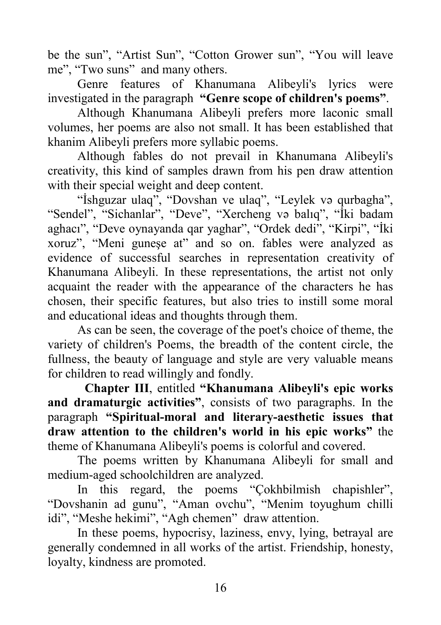be the sun", "Artist Sun", "Cotton Grower sun", "You will leave me", "Two suns" and many others.

Genre features of Khanumana Alibeyli's lyrics were investigated in the paragraph **"Genre scope of children's poems"**.

Although Khanumana Alibeyli prefers more laconic small volumes, her poems are also not small. It has been established that khanim Alibeyli prefers more syllabic poems.

Although fables do not prevail in Khanumana Alibeyli's creativity, this kind of samples drawn from his pen draw attention with their special weight and deep content.

"İshguzar ulaq", "Dovshan ve ulaq", "Leylek və qurbagha", "Sendel", "Sichanlar", "Deve", "Xercheng və balıq", "İki badam aghacı", "Deve oynayanda qar yaghar", "Ordek dedi", "Kirpi", "İki xoruz", "Meni guneşe at" and so on. fables were analyzed as evidence of successful searches in representation creativity of Khanumana Alibeyli. In these representations, the artist not only acquaint the reader with the appearance of the characters he has chosen, their specific features, but also tries to instill some moral and educational ideas and thoughts through them.

As can be seen, the coverage of the poet's choice of theme, the variety of children's Poems, the breadth of the content circle, the fullness, the beauty of language and style are very valuable means for children to read willingly and fondly.

**Chapter III**, entitled **"Khanumana Alibeyli's epic works and dramaturgic activities"**, consists of two paragraphs. In the paragraph **"Spiritual-moral and literary-aesthetic issues that draw attention to the children's world in his epic works"** the theme of Khanumana Alibeyli's poems is colorful and covered.

The poems written by Khanumana Alibeyli for small and medium-aged schoolchildren are analyzed.

In this regard, the poems "Çokhbilmish chapishler", "Dovshanin ad gunu", "Aman ovchu", "Menim toyughum chilli idi", "Meshe hekimi", "Agh chemen" draw attention.

In these poems, hypocrisy, laziness, envy, lying, betrayal are generally condemned in all works of the artist. Friendship, honesty, loyalty, kindness are promoted.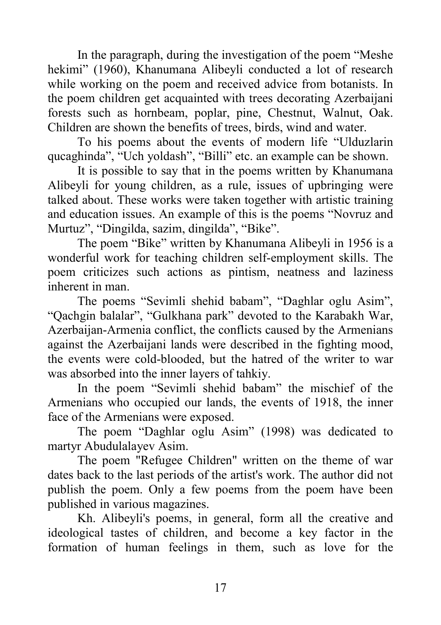In the paragraph, during the investigation of the poem "Meshe hekimi" (1960), Khanumana Alibeyli conducted a lot of research while working on the poem and received advice from botanists. In the poem children get acquainted with trees decorating Azerbaijani forests such as hornbeam, poplar, pine, Chestnut, Walnut, Oak. Children are shown the benefits of trees, birds, wind and water.

To his poems about the events of modern life "Ulduzlarin qucaghinda", "Uch yoldash", "Billi" etc. an example can be shown.

It is possible to say that in the poems written by Khanumana Alibeyli for young children, as a rule, issues of upbringing were talked about. These works were taken together with artistic training and education issues. An example of this is the poems "Novruz and Murtuz", "Dingilda, sazim, dingilda", "Bike".

The poem "Bike" written by Khanumana Alibeyli in 1956 is a wonderful work for teaching children self-employment skills. The poem criticizes such actions as pintism, neatness and laziness inherent in man.

The poems "Sevimli shehid babam", "Daghlar oglu Asim", "Qachgin balalar", "Gulkhana park" devoted to the Karabakh War, Azerbaijan-Armenia conflict, the conflicts caused by the Armenians against the Azerbaijani lands were described in the fighting mood, the events were cold-blooded, but the hatred of the writer to war was absorbed into the inner layers of tahkiy.

In the poem "Sevimli shehid babam" the mischief of the Armenians who occupied our lands, the events of 1918, the inner face of the Armenians were exposed.

The poem "Daghlar oglu Asim" (1998) was dedicated to martyr Abudulalayev Asim.

The poem "Refugee Children" written on the theme of war dates back to the last periods of the artist's work. The author did not publish the poem. Only a few poems from the poem have been published in various magazines.

Kh. Alibeyli's poems, in general, form all the creative and ideological tastes of children, and become a key factor in the formation of human feelings in them, such as love for the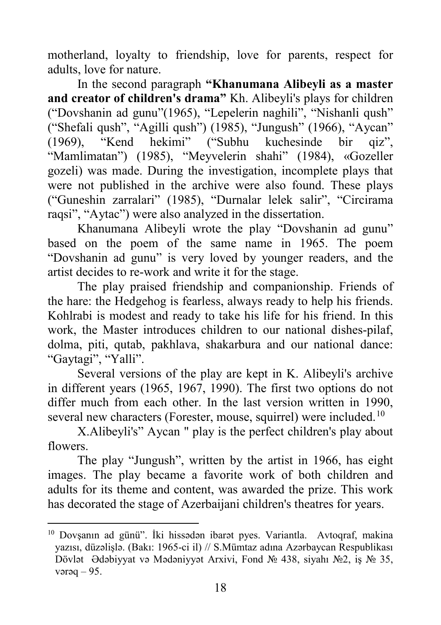motherland, loyalty to friendship, love for parents, respect for adults, love for nature.

In the second paragraph **"Khanumana Alibeyli as a master and creator of children's drama"** Kh. Alibeyli's plays for children ("Dovshanin ad gunu"(1965), "Lepelerin naghili", "Nishanli qush" ("Shefali qush", "Agilli qush") (1985), "Jungush" (1966), "Aycan" (1969). "Kend hekimi" ("Subhu kuchesinde bir qiz",  $(1969)$ , "Kend hekimi" ("Subhu kuchesinde bir "Mamlimatan") (1985), "Meyvelerin shahi" (1984), «Gozeller gozeli) was made. During the investigation, incomplete plays that were not published in the archive were also found. These plays ("Guneshin zarralari" (1985), "Durnalar lelek salir", "Circirama raqsi", "Aytac") were also analyzed in the dissertation.

Khanumana Alibeyli wrote the play "Dovshanin ad gunu" based on the poem of the same name in 1965. The poem "Dovshanin ad gunu" is very loved by younger readers, and the artist decides to re-work and write it for the stage.

The play praised friendship and companionship. Friends of the hare: the Hedgehog is fearless, always ready to help his friends. Kohlrabi is modest and ready to take his life for his friend. In this work, the Master introduces children to our national dishes-pilaf, dolma, piti, qutab, pakhlava, shakarbura and our national dance: "Gaytagi", "Yalli".

Several versions of the play are kept in K. Alibeyli's archive in different years (1965, 1967, 1990). The first two options do not differ much from each other. In the last version written in 1990, several new characters (Forester, mouse, squirrel) were included.<sup>[10](#page-17-0)</sup>

X.Alibeyli's" Aycan " play is the perfect children's play about flowers.

The play "Jungush", written by the artist in 1966, has eight images. The play became a favorite work of both children and adults for its theme and content, was awarded the prize. This work has decorated the stage of Azerbaijani children's theatres for years.

 $\overline{a}$ 

<span id="page-17-0"></span><sup>10</sup> Dovşanın ad günü". İki hissədən ibarət pyes. Variantla. Avtoqraf, makina yazısı, düzəlişlə. (Bakı: 1965-ci il) // S.Mümtaz adına Azərbaycan Respublikası Dövlət Ədəbiyyat və Mədəniyyət Arxivi, Fond № 438, siyahı №2, iş № 35, vərəq  $-95$ .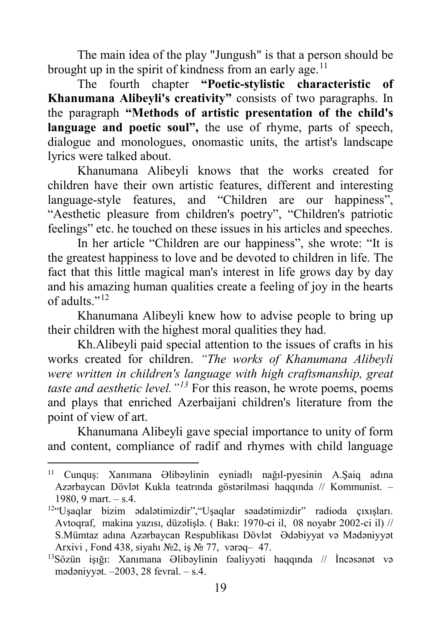The main idea of the play "Jungush" is that a person should be brought up in the spirit of kindness from an early age.<sup>[11](#page-18-0)</sup>

The fourth chapter **"Poetic-stylistic characteristic of Khanumana Alibeyli's creativity"** consists of two paragraphs. In the paragraph **"Methods of artistic presentation of the child's**  language and poetic soul", the use of rhyme, parts of speech, dialogue and monologues, onomastic units, the artist's landscape lyrics were talked about.

Khanumana Alibeyli knows that the works created for children have their own artistic features, different and interesting language-style features, and "Children are our happiness", "Aesthetic pleasure from children's poetry", "Children's patriotic feelings" etc. he touched on these issues in his articles and speeches.

In her article "Children are our happiness", she wrote: "It is the greatest happiness to love and be devoted to children in life. The fact that this little magical man's interest in life grows day by day and his amazing human qualities create a feeling of joy in the hearts of adults."[12](#page-18-1)

Khanumana Alibeyli knew how to advise people to bring up their children with the highest moral qualities they had.

Kh.Alibeyli paid special attention to the issues of crafts in his works created for children. *"The works of Khanumana Alibeyli were written in children's language with high craftsmanship, great taste and aesthetic level."[13](#page-18-2)* For this reason, he wrote poems, poems and plays that enriched Azerbaijani children's literature from the point of view of art.

Khanumana Alibeyli gave special importance to unity of form and content, compliance of radif and rhymes with child language

1

<span id="page-18-0"></span><sup>11</sup> Cunquş: Xanımana Əlibəylinin eyniadlı nağıl-pyesinin A.Şaiq adına Azərbaycan Dövlət Kukla teatrında göstərilməsi haqqında // Kommunist. ‒ 1980, 9 mart. – s.4.

<span id="page-18-1"></span><sup>12</sup>"Uşaqlar bizim ədalətimizdir","Uşaqlar səadətimizdir" radioda çıxışları. Avtoqraf, makina yazısı, düzəlişlə. ( Bakı: 1970-ci il, 08 noyabr 2002-ci il) // S.Mümtaz adına Azərbaycan Respublikası Dövlət Ədəbiyyat və Mədəniyyət Arxivi, Fond 438, siyahı №2, iş № 77, vərəq – 47.

<span id="page-18-2"></span><sup>13</sup>Sözün işığı: Xanımana Əlibəylinin fəaliyyəti haqqında // İncəsənət və mədəniyyət.  $-2003$ , 28 fevral.  $-$  s.4.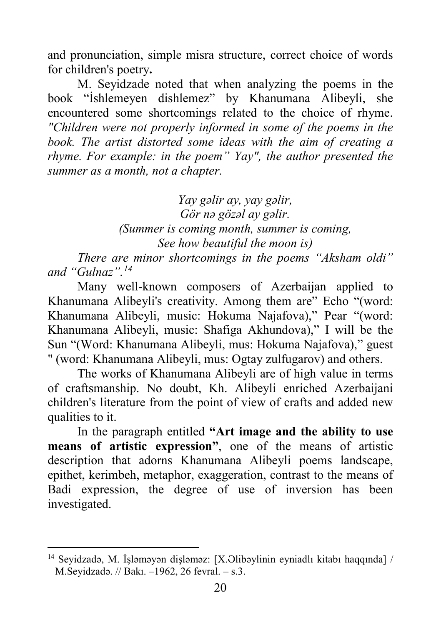and pronunciation, simple misra structure, correct choice of words for children's poetry**.**

M. Seyidzade noted that when analyzing the poems in the book "İshlemeyen dishlemez" by Khanumana Alibeyli, she encountered some shortcomings related to the choice of rhyme. *"Children were not properly informed in some of the poems in the book. The artist distorted some ideas with the aim of creating a rhyme. For example: in the poem" Yay", the author presented the summer as a month, not a chapter.*

> *Yay gəlir ay, yay gəlir, Gör nə gözəl ay gəlir. (Summer is coming month, summer is coming, See how beautiful the moon is)*

*There are minor shortcomings in the poems "Aksham oldi" and "Gulnaz". [14](#page-19-0)*

Many well-known composers of Azerbaijan applied to Khanumana Alibeyli's creativity. Among them are" Echo "(word: Khanumana Alibeyli, music: Hokuma Najafova)," Pear "(word: Khanumana Alibeyli, music: Shafiga Akhundova)," I will be the Sun "(Word: Khanumana Alibeyli, mus: Hokuma Najafova)," guest " (word: Khanumana Alibeyli, mus: Ogtay zulfugarov) and others.

The works of Khanumana Alibeyli are of high value in terms of craftsmanship. No doubt, Kh. Alibeyli enriched Azerbaijani children's literature from the point of view of crafts and added new qualities to it.

In the paragraph entitled **"Art image and the ability to use means of artistic expression"**, one of the means of artistic description that adorns Khanumana Alibeyli poems landscape, epithet, kerimbeh, metaphor, exaggeration, contrast to the means of Badi expression, the degree of use of inversion has been investigated.

<span id="page-19-0"></span><sup>14</sup> Seyidzadə, M. İşləməyən dişləməz: [X.Əlibəylinin eyniadlı kitabı haqqında] / M.Seyidzadə. // Bakı. ‒1962, 26 fevral. ‒ s.3.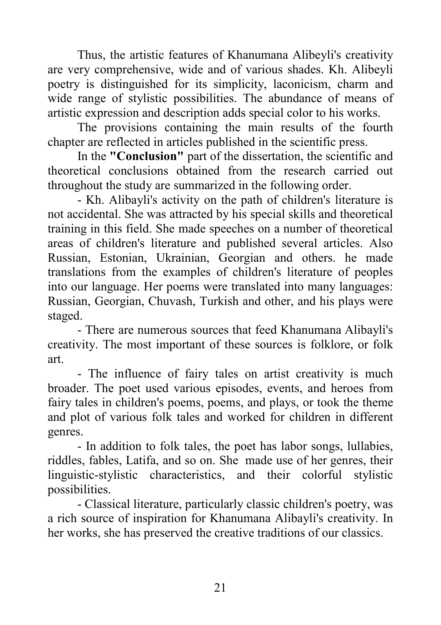Thus, the artistic features of Khanumana Alibeyli's creativity are very comprehensive, wide and of various shades. Kh. Alibeyli poetry is distinguished for its simplicity, laconicism, charm and wide range of stylistic possibilities. The abundance of means of artistic expression and description adds special color to his works.

The provisions containing the main results of the fourth chapter are reflected in articles published in the scientific press.

In the **"Conclusion"** part of the dissertation, the scientific and theoretical conclusions obtained from the research carried out throughout the study are summarized in the following order.

- Kh. Alibayli's activity on the path of children's literature is not accidental. She was attracted by his special skills and theoretical training in this field. She made speeches on a number of theoretical areas of children's literature and published several articles. Also Russian, Estonian, Ukrainian, Georgian and others. he made translations from the examples of children's literature of peoples into our language. Her poems were translated into many languages: Russian, Georgian, Chuvash, Turkish and other, and his plays were staged.

- There are numerous sources that feed Khanumana Alibayli's creativity. The most important of these sources is folklore, or folk art.

- The influence of fairy tales on artist creativity is much broader. The poet used various episodes, events, and heroes from fairy tales in children's poems, poems, and plays, or took the theme and plot of various folk tales and worked for children in different genres.

- In addition to folk tales, the poet has labor songs, lullabies, riddles, fables, Latifa, and so on. She made use of her genres, their linguistic-stylistic characteristics, and their colorful stylistic possibilities.

- Classical literature, particularly classic children's poetry, was a rich source of inspiration for Khanumana Alibayli's creativity. In her works, she has preserved the creative traditions of our classics.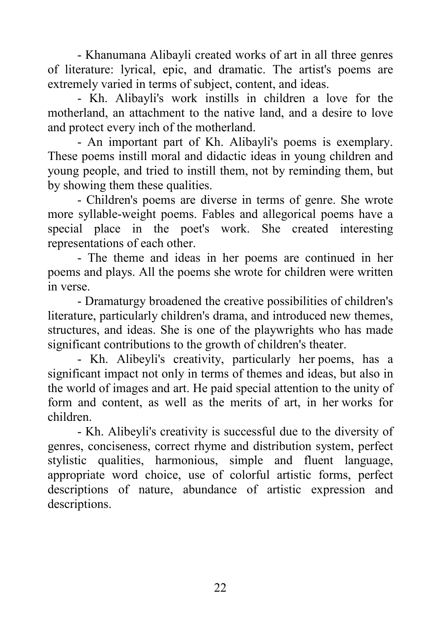- Khanumana Alibayli created works of art in all three genres of literature: lyrical, epic, and dramatic. The artist's poems are extremely varied in terms of subject, content, and ideas.

- Kh. Alibayli's work instills in children a love for the motherland, an attachment to the native land, and a desire to love and protect every inch of the motherland.

- An important part of Kh. Alibayli's poems is exemplary. These poems instill moral and didactic ideas in young children and young people, and tried to instill them, not by reminding them, but by showing them these qualities.

- Children's poems are diverse in terms of genre. She wrote more syllable-weight poems. Fables and allegorical poems have a special place in the poet's work. She created interesting representations of each other.

- The theme and ideas in her poems are continued in her poems and plays. All the poems she wrote for children were written in verse.

- Dramaturgy broadened the creative possibilities of children's literature, particularly children's drama, and introduced new themes, structures, and ideas. She is one of the playwrights who has made significant contributions to the growth of children's theater.

- Kh. Alibeyli's creativity, particularly her poems, has a significant impact not only in terms of themes and ideas, but also in the world of images and art. He paid special attention to the unity of form and content, as well as the merits of art, in her works for children.

- Kh. Alibeyli's creativity is successful due to the diversity of genres, conciseness, correct rhyme and distribution system, perfect stylistic qualities, harmonious, simple and fluent language, appropriate word choice, use of colorful artistic forms, perfect descriptions of nature, abundance of artistic expression and descriptions.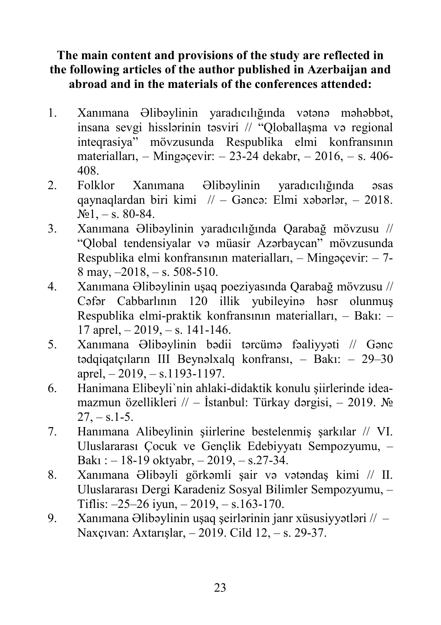## **The main content and provisions of the study are reflected in the following articles of the author published in Azerbaijan and abroad and in the materials of the conferences attended:**

- 1. Xanımana Əlibəylinin yaradıcılığında vətənə məhəbbət, insana sevgi hisslərinin təsviri // "Qloballaşma və regional inteqrasiya" mövzusunda Respublika elmi konfransının materialları,  $-$  Mingəçevir:  $-$  23-24 dekabr,  $-$  2016,  $-$  s. 406-408.
- 2. Folklor Xanımana Əlibəylinin yaradıcılığında əsas qaynaqlardan biri kimi  $\pi/2 - \text{Gence: Elmi xəbərlər, } -2018.$  $\text{N}_2 1, -\text{s}$ , 80-84.
- 3. Xanımana Əlibəylinin yaradıcılığında Qarabağ mövzusu // "Qlobal tendensiyalar və müasir Azərbaycan" mövzusunda Respublika elmi konfransının materialları,  $-$  Mingəçevir:  $-$  7-8 may,  $-2018$ ,  $-$  s. 508-510.
- 4. Xanımana Əlibəylinin uşaq poeziyasında Qarabağ mövzusu // Cəfər Cabbarlının 120 illik yubileyinə həsr olunmuş Respublika elmi-praktik konfransının materialları, - Bakı: - $17$  aprel,  $-2019$ ,  $-$  s. 141-146.
- 5. Xanımana Əlibəylinin bədii tərcümə fəaliyyəti // Gənc tədqiqatçıların III Beynəlxalq konfransı, - Bakı: - 29-30 aprel,  $-2019$ ,  $- s.1193 - 1197$ .
- 6. Hanimana Elibeyli`nin ahlaki-didaktik konulu şiirlerinde ideamazmun özellikleri // – İstanbul: Türkay dərgisi, – 2019. №  $27, -s.1-5.$
- 7. Hanımana Alibeylinin şiirlerine bestelenmiş şarkılar // VI. Uluslararası Çocuk ve Gençlik Edebiyyatı Sempozyumu, -Bakı :  $-18-19$  oktyabr,  $-2019$ ,  $-$  s.27-34.
- 8. Xanımana Əlibəyli görkəmli şair və vətəndaş kimi // II. Uluslararası Dergi Karadeniz Sosyal Bilimler Sempozyumu, ‒ Tiflis:  $-25-26$  iyun,  $-2019$ ,  $- s.163-170$ .
- 9. Xanımana Əlibəylinin uşaq şeirlərinin janr xüsusiyyətləri // -Naxçıvan: Axtarışlar, ‒ 2019. Cild 12, ‒ s. 29-37.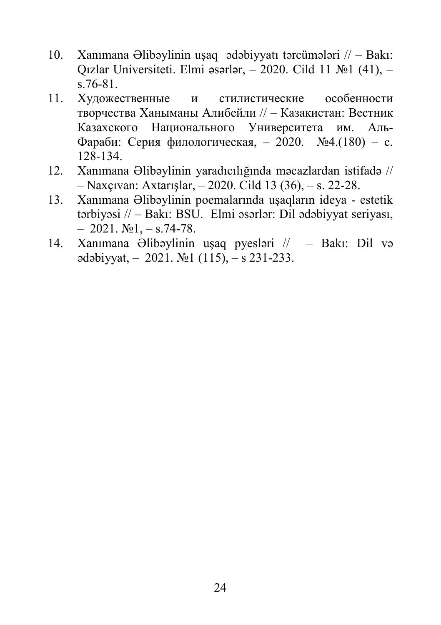- 10. Xanımana Əlibəylinin uşaq ədəbiyyatı tərcümələri // ‒ Bakı: Qızlar Universiteti. Elmi əsərlər, ‒ 2020. Cild 11 №1 (41), ‒ s.76-81.
- 11. Художественные и стилистические особенности творчества Ханыманы Алибейли // ‒ Казакистан: Вестник Казахского Национального Университета им. Аль-Фараби: Серия филологическая, ‒ 2020. №4.(180) ‒ c. 128-134.
- 12. Xanımana Əlibəylinin yaradıcılığında məcazlardan istifadə // ‒ Naxçıvan: Axtarışlar, ‒ 2020. Cild 13 (36), ‒ s. 22-28.
- 13. Xanımana Əlibəylinin poemalarında uşaqların ideya estetik tərbiyəsi  $\ell$  – Bakı: BSU. Elmi əsərlər: Dil ədəbiyyat seriyası,  $-2021. N<sub>2</sub>1, -s.74-78.$
- 14. Xanımana Əlibəylinin uşaq pyesləri // ‒ Bakı: Dil və  $\alpha$ dəbiyyat,  $-2021$ .  $\mathbb{N}$ <sup>o</sup> 1 (115),  $-$  s 231-233.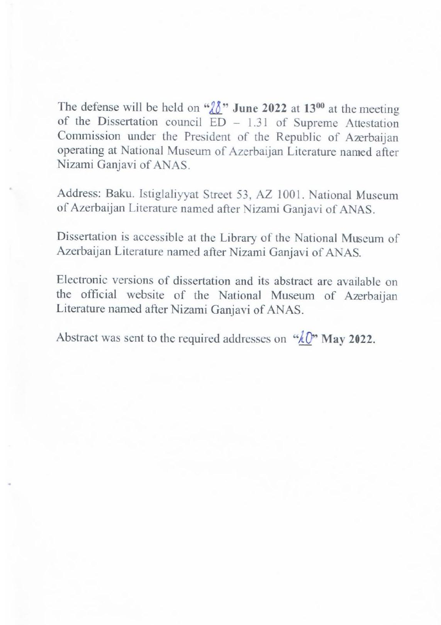The defense will be held on  $\sqrt[n]{\sqrt[n]{\ell}}$  **June 2022** at 13<sup>00</sup> at the meeting of the Dissertation council ED – 1.31 of Supreme Attestation of the Dissertation council  $ED = 1.31$  of Supreme Attestation Commission under the President of the Republic of Azerbaijan operating at National Museum of Azerbaijan Literature named after Nizami Ganjavi of ANAS.

Address: Baku. Istiglaliyyat Street 53, AZ 1001. National Museum of Azerbaijan Literature named after Nizami Ganjavi of ANAS

 $\Delta$ zorbaijan I iterature general  $\beta$  and  $N$ ;  $\beta$  is  $\beta$  and  $\beta$   $\Delta$   $\Delta$   $\Delta$   $\beta$ Tizerbarjan Enerature named after Nizami Ganjavi of AN

Electronic versions of dissertation and its abstract are available on the official website of the National Museum of Azerbaiian the official website of the National Museum of Azerbaijan Literature named after Nizami Ganjavi of ANAS.

Abstract was sent to the required addresses on  $\sqrt[n]{p}$  May 2022.